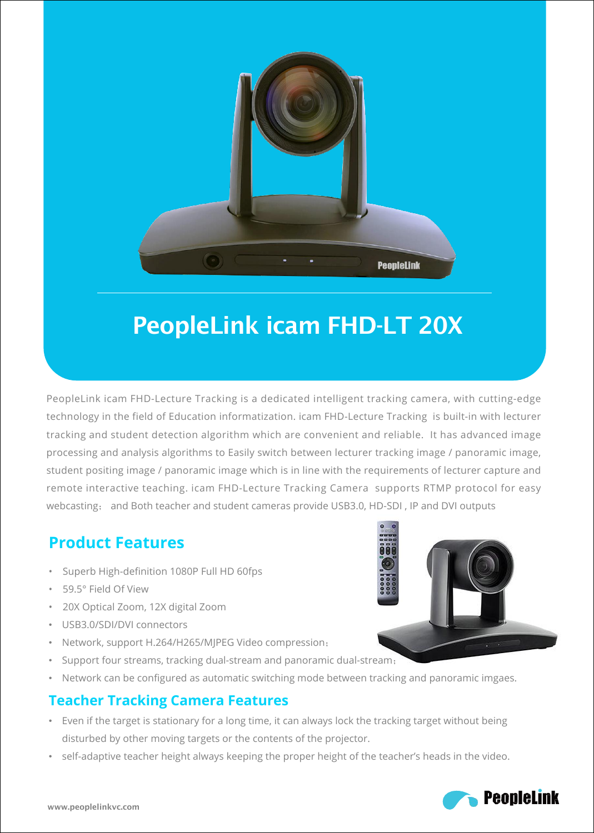

# PeopleLink icam FHD-LT 20X

PeopleLink icam FHD-Lecture Tracking is a dedicated intelligent tracking camera, with cutting-edge technology in the field of Education informatization. icam FHD-Lecture Tracking isbuilt-in with lecturer tracking and student detection algorithm which are convenient and reliable. It has advanced image processing and analysis algorithms to Easily switch between lecturer tracking image / panoramic image, student positing image / panoramic image which is in line with the requirements of lecturer capture and remote interactive teaching. icam FHD-Lecture Tracking Camera supports RTMP protocol for easy webcasting; and Both teacher and student cameras provide USB3.0, HD-SDI, IP and DVI outputs

# **Product Features**

- Superb High-definition 1080P Full HD 60fps
- 59.5° Field Of View
- 20X Optical Zoom, 12X digital Zoom
- USB3.0/SDI/DVI connectors
- Network, support H.264/H265/MJPEG Video compression;
- Support four streams, tracking dual-stream and panoramic dual-stream;
- Network can be configured as automatic switching mode between tracking and panoramic imgaes.

#### **Teacher Tracking Camera Features**

- Even if the target is stationary for a long time, it can always lock the tracking target without being disturbed by other moving targets or the contents of the projector.
- self-adaptive teacher height always keeping the proper height of the teacher's heads in the video.



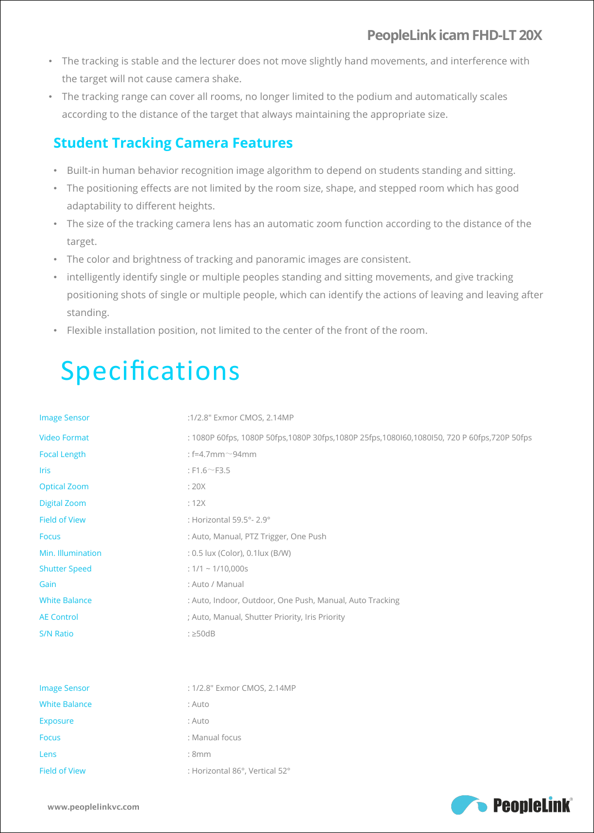#### **PeopleLinkicamFHD-LT 20X**

- The tracking is stable and the lecturer does not move slightly hand movements, and interference with the target will not cause camera shake.
- The tracking range can cover all rooms, no longer limited to the podium and automatically scales according to the distance of the target that always maintaining the appropriate size.

### **Student Tracking Camera Features**

- Built-in human behavior recognition image algorithm to depend on students standing and sitting.
- The positioning effects are not limited by the room size, shape, and stepped room which has good adaptability to different heights.
- The size of the tracking camera lens has an automatic zoom function according to the distance of the target.
- The color and brightness of tracking and panoramic images are consistent.
- intelligently identify single or multiple peoples standing and sitting movements, and give tracking positioning shots of single or multiple people, which can identify the actions of leaving and leaving after standing.
- Flexible installation position, not limited to the center of the front of the room.

# Specifications

| <b>Image Sensor</b>  | :1/2.8" Exmor CMOS, 2.14MP                                                                      |  |  |  |  |
|----------------------|-------------------------------------------------------------------------------------------------|--|--|--|--|
| <b>Video Format</b>  | : 1080P 60fps, 1080P 50fps, 1080P 30fps, 1080P 25fps, 1080l60, 1080l50, 720 P 60fps, 720P 50fps |  |  |  |  |
| <b>Focal Length</b>  | : $f=4.7$ mm $\sim$ 94mm                                                                        |  |  |  |  |
| <b>Iris</b>          | : $F1.6 \sim F3.5$                                                                              |  |  |  |  |
| <b>Optical Zoom</b>  | :20X                                                                                            |  |  |  |  |
| <b>Digital Zoom</b>  | :12X                                                                                            |  |  |  |  |
| <b>Field of View</b> | : Horizontal 59.5°-2.9°                                                                         |  |  |  |  |
| <b>Focus</b>         | : Auto, Manual, PTZ Trigger, One Push                                                           |  |  |  |  |
| Min. Illumination    | : 0.5 lux (Color), 0.1 lux (B/W)                                                                |  |  |  |  |
| <b>Shutter Speed</b> | : $1/1 \sim 1/10,000s$                                                                          |  |  |  |  |
| Gain                 | : Auto / Manual                                                                                 |  |  |  |  |
| <b>White Balance</b> | : Auto, Indoor, Outdoor, One Push, Manual, Auto Tracking                                        |  |  |  |  |
| <b>AE Control</b>    | ; Auto, Manual, Shutter Priority, Iris Priority                                                 |  |  |  |  |
| S/N Ratio            | $: \geq 50dB$                                                                                   |  |  |  |  |
|                      |                                                                                                 |  |  |  |  |
|                      |                                                                                                 |  |  |  |  |
| <b>Image Sensor</b>  | : 1/2.8" Exmor CMOS, 2.14MP                                                                     |  |  |  |  |
| <b>White Balance</b> | : Auto                                                                                          |  |  |  |  |
| Exposure             | : Auto                                                                                          |  |  |  |  |
| <b>Focus</b>         | : Manual focus                                                                                  |  |  |  |  |
| Lens                 | :8mm                                                                                            |  |  |  |  |
| <b>Field of View</b> | : Horizontal 86°, Vertical 52°                                                                  |  |  |  |  |